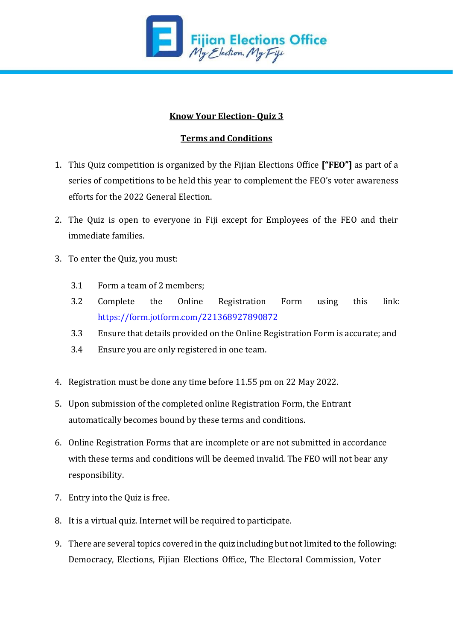

## **Know Your Election- Quiz 3**

## **Terms and Conditions**

- 1. This Quiz competition is organized by the Fijian Elections Office **["FEO"]** as part of a series of competitions to be held this year to complement the FEO's voter awareness efforts for the 2022 General Election.
- 2. The Quiz is open to everyone in Fiji except for Employees of the FEO and their immediate families.
- 3. To enter the Quiz, you must:
	- 3.1 Form a team of 2 members;
	- 3.2 Complete the Online Registration Form using this link: <https://form.jotform.com/221368927890872>
	- 3.3 Ensure that details provided on the Online Registration Form is accurate; and
	- 3.4 Ensure you are only registered in one team.
- 4. Registration must be done any time before 11.55 pm on 22 May 2022.
- 5. Upon submission of the completed online Registration Form, the Entrant automatically becomes bound by these terms and conditions.
- 6. Online Registration Forms that are incomplete or are not submitted in accordance with these terms and conditions will be deemed invalid. The FEO will not bear any responsibility.
- 7. Entry into the Quiz is free.
- 8. It is a virtual quiz. Internet will be required to participate.
- 9. There are several topics covered in the quiz including but not limited to the following: Democracy, Elections, Fijian Elections Office, The Electoral Commission, Voter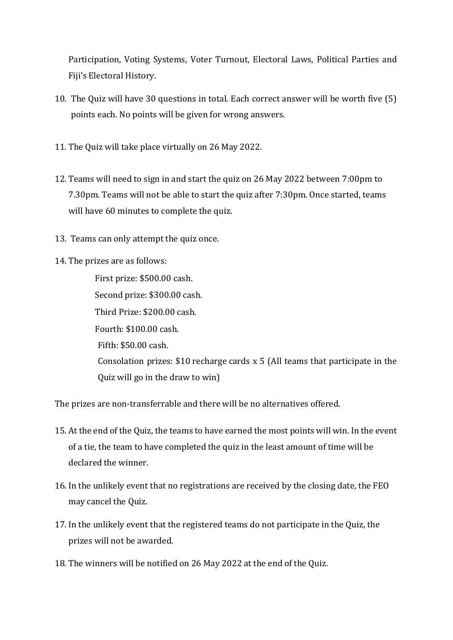Participation, Voting Systems, Voter Turnout, Electoral Laws, Political Parties and Fiji's Electoral History.

- 10. The Quiz will have 30 questions in total. Each correct answer will be worth five (5) points each. No points will be given for wrong answers.
- 11. The Quiz will take place virtually on 26 May 2022.
- 12. Teams will need to sign in and start the quiz on 26 May 2022 between 7:00pm to 7.30pm. Teams will not be able to start the quiz after 7:30pm. Once started, teams will have 60 minutes to complete the quiz.
- 13. Teams can only attempt the quiz once.
- 14. The prizes are as follows:

First prize: \$500.00 cash. Second prize: \$300.00 cash. Third Prize: \$200.00 cash. Fourth: \$100.00 cash. Fifth: \$50.00 cash. Consolation prizes: \$10 recharge cards x 5 (All teams that participate in the Quiz will go in the draw to win)

The prizes are non-transferrable and there will be no alternatives offered.

- 15. At the end of the Quiz, the teams to have earned the most points will win. In the event of a tie, the team to have completed the quiz in the least amount of time will be declared the winner.
- 16. In the unlikely event that no registrations are received by the closing date, the FEO may cancel the Quiz.
- 17. In the unlikely event that the registered teams do not participate in the Quiz, the prizes will not be awarded.
- 18. The winners will be notified on 26 May 2022 at the end of the Quiz.